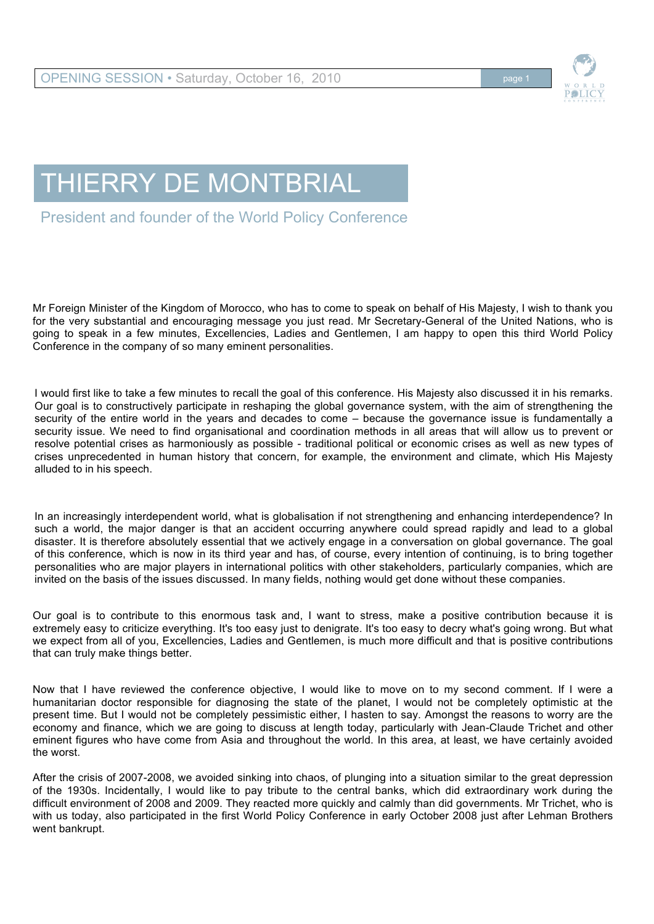

## THIERRY DE MONTBRIAL

President and founder of the World Policy Conference

Mr Foreign Minister of the Kingdom of Morocco, who has to come to speak on behalf of His Majesty, I wish to thank you for the very substantial and encouraging message you just read. Mr Secretary-General of the United Nations, who is going to speak in a few minutes, Excellencies, Ladies and Gentlemen, I am happy to open this third World Policy Conference in the company of so many eminent personalities.

I would first like to take a few minutes to recall the goal of this conference. His Majesty also discussed it in his remarks. Our goal is to constructively participate in reshaping the global governance system, with the aim of strengthening the security of the entire world in the years and decades to come – because the governance issue is fundamentally a security issue. We need to find organisational and coordination methods in all areas that will allow us to prevent or resolve potential crises as harmoniously as possible - traditional political or economic crises as well as new types of crises unprecedented in human history that concern, for example, the environment and climate, which His Majesty alluded to in his speech.

In an increasingly interdependent world, what is globalisation if not strengthening and enhancing interdependence? In such a world, the major danger is that an accident occurring anywhere could spread rapidly and lead to a global disaster. It is therefore absolutely essential that we actively engage in a conversation on global governance. The goal of this conference, which is now in its third year and has, of course, every intention of continuing, is to bring together personalities who are major players in international politics with other stakeholders, particularly companies, which are invited on the basis of the issues discussed. In many fields, nothing would get done without these companies.

Our goal is to contribute to this enormous task and, I want to stress, make a positive contribution because it is extremely easy to criticize everything. It's too easy just to denigrate. It's too easy to decry what's going wrong. But what we expect from all of you, Excellencies, Ladies and Gentlemen, is much more difficult and that is positive contributions that can truly make things better.

Now that I have reviewed the conference objective, I would like to move on to my second comment. If I were a humanitarian doctor responsible for diagnosing the state of the planet, I would not be completely optimistic at the present time. But I would not be completely pessimistic either, I hasten to say. Amongst the reasons to worry are the economy and finance, which we are going to discuss at length today, particularly with Jean-Claude Trichet and other eminent figures who have come from Asia and throughout the world. In this area, at least, we have certainly avoided the worst.

After the crisis of 2007-2008, we avoided sinking into chaos, of plunging into a situation similar to the great depression of the 1930s. Incidentally, I would like to pay tribute to the central banks, which did extraordinary work during the difficult environment of 2008 and 2009. They reacted more quickly and calmly than did governments. Mr Trichet, who is with us today, also participated in the first World Policy Conference in early October 2008 just after Lehman Brothers went bankrupt.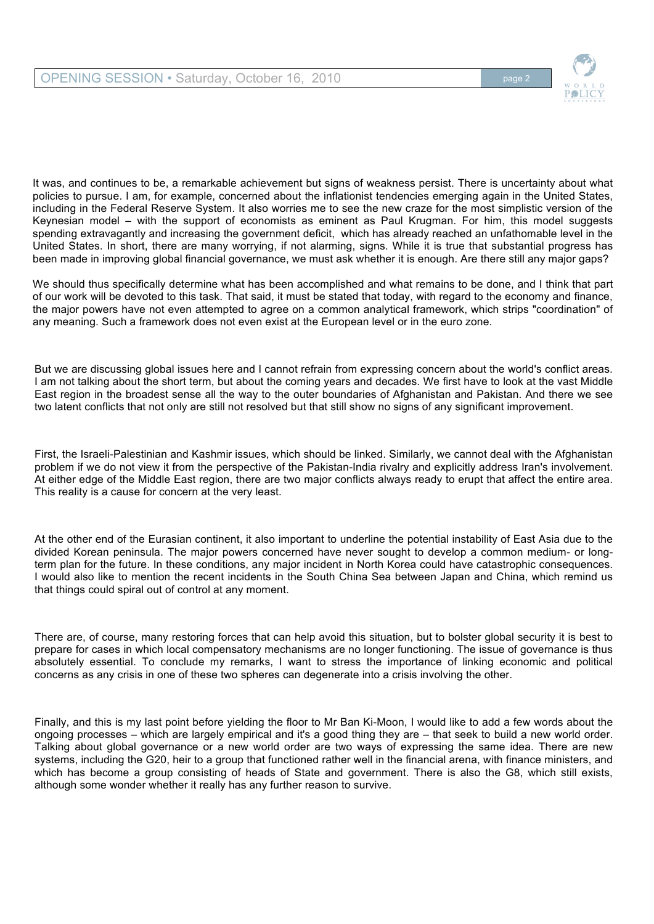

It was, and continues to be, a remarkable achievement but signs of weakness persist. There is uncertainty about what policies to pursue. I am, for example, concerned about the inflationist tendencies emerging again in the United States, including in the Federal Reserve System. It also worries me to see the new craze for the most simplistic version of the Keynesian model – with the support of economists as eminent as Paul Krugman. For him, this model suggests spending extravagantly and increasing the government deficit, which has already reached an unfathomable level in the United States. In short, there are many worrying, if not alarming, signs. While it is true that substantial progress has been made in improving global financial governance, we must ask whether it is enough. Are there still any major gaps?

We should thus specifically determine what has been accomplished and what remains to be done, and I think that part of our work will be devoted to this task. That said, it must be stated that today, with regard to the economy and finance, the major powers have not even attempted to agree on a common analytical framework, which strips "coordination" of any meaning. Such a framework does not even exist at the European level or in the euro zone.

But we are discussing global issues here and I cannot refrain from expressing concern about the world's conflict areas. I am not talking about the short term, but about the coming years and decades. We first have to look at the vast Middle East region in the broadest sense all the way to the outer boundaries of Afghanistan and Pakistan. And there we see two latent conflicts that not only are still not resolved but that still show no signs of any significant improvement.

First, the Israeli-Palestinian and Kashmir issues, which should be linked. Similarly, we cannot deal with the Afghanistan problem if we do not view it from the perspective of the Pakistan-India rivalry and explicitly address Iran's involvement. At either edge of the Middle East region, there are two major conflicts always ready to erupt that affect the entire area. This reality is a cause for concern at the very least.

At the other end of the Eurasian continent, it also important to underline the potential instability of East Asia due to the divided Korean peninsula. The major powers concerned have never sought to develop a common medium- or longterm plan for the future. In these conditions, any major incident in North Korea could have catastrophic consequences. I would also like to mention the recent incidents in the South China Sea between Japan and China, which remind us that things could spiral out of control at any moment.

There are, of course, many restoring forces that can help avoid this situation, but to bolster global security it is best to prepare for cases in which local compensatory mechanisms are no longer functioning. The issue of governance is thus absolutely essential. To conclude my remarks, I want to stress the importance of linking economic and political concerns as any crisis in one of these two spheres can degenerate into a crisis involving the other.

Finally, and this is my last point before yielding the floor to Mr Ban Ki-Moon, I would like to add a few words about the ongoing processes – which are largely empirical and it's a good thing they are – that seek to build a new world order. Talking about global governance or a new world order are two ways of expressing the same idea. There are new systems, including the G20, heir to a group that functioned rather well in the financial arena, with finance ministers, and which has become a group consisting of heads of State and government. There is also the G8, which still exists, although some wonder whether it really has any further reason to survive.